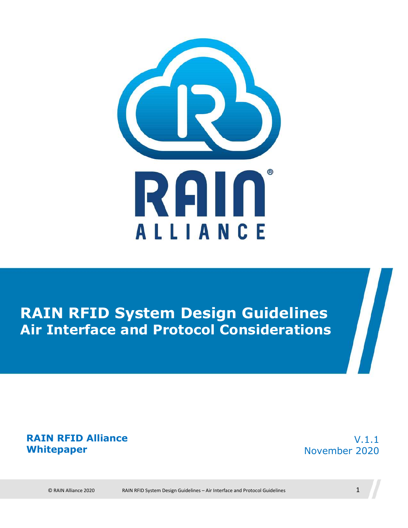

## **RAIN RFID System Design Guidelines Air Interface and Protocol Considerations**

#### **RAIN RFID Alliance Whitepaper**

V.1.1 November 2020

© RAIN Alliance 2020 RAIN RFID System Design Guidelines – Air Interface and Protocol Guidelines 1

 $\boldsymbol{\eta}$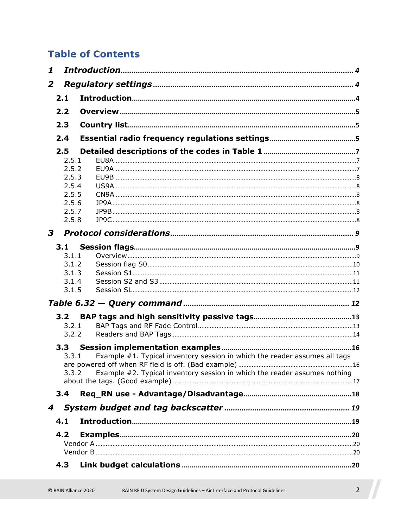#### **Table of Contents**

| 1              |                  |                                                                                        |  |
|----------------|------------------|----------------------------------------------------------------------------------------|--|
| $\overline{2}$ |                  |                                                                                        |  |
|                | 2.1              |                                                                                        |  |
|                | 2.2              |                                                                                        |  |
|                | 2.3              |                                                                                        |  |
|                |                  |                                                                                        |  |
|                | 2.4              |                                                                                        |  |
|                | 2.5              |                                                                                        |  |
|                | 2.5.1<br>2.5.2   |                                                                                        |  |
|                | 2.5.3            |                                                                                        |  |
|                | 2.5.4            |                                                                                        |  |
|                | 2.5.5            |                                                                                        |  |
|                | 2.5.6            |                                                                                        |  |
|                | 2.5.7            |                                                                                        |  |
|                | 2.5.8            |                                                                                        |  |
| $\mathbf{3}$   |                  |                                                                                        |  |
|                | 3.1              |                                                                                        |  |
|                | 3.1.1            |                                                                                        |  |
|                | 3.1.2            |                                                                                        |  |
|                | 3.1.3            |                                                                                        |  |
|                | 3.1.4            |                                                                                        |  |
|                | 3.1.5            |                                                                                        |  |
|                |                  |                                                                                        |  |
|                | 3.2 <sub>1</sub> |                                                                                        |  |
|                | 3.2.1            |                                                                                        |  |
|                | 3.2.2            |                                                                                        |  |
|                | 3.3              |                                                                                        |  |
|                |                  | Example $#1$ . Typical inventory session in which the reader assumes all tags<br>3.3.1 |  |
|                |                  |                                                                                        |  |
|                | 3.3.2            | Example #2. Typical inventory session in which the reader assumes nothing              |  |
|                |                  |                                                                                        |  |
|                | 3.4              |                                                                                        |  |
| 4              |                  |                                                                                        |  |
|                | 4.1              |                                                                                        |  |
|                | 4.2              |                                                                                        |  |
|                |                  |                                                                                        |  |
|                |                  |                                                                                        |  |
|                | 4.3              |                                                                                        |  |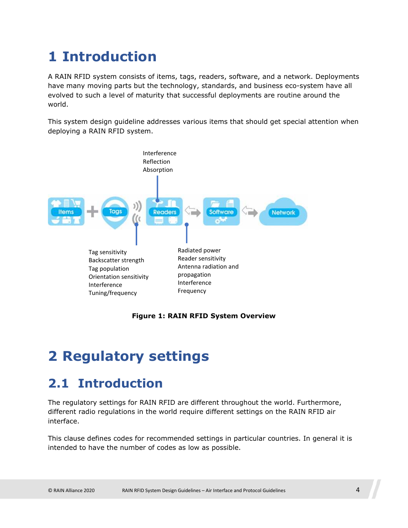## <span id="page-3-0"></span>**1 Introduction**

A RAIN RFID system consists of items, tags, readers, software, and a network. Deployments have many moving parts but the technology, standards, and business eco-system have all evolved to such a level of maturity that successful deployments are routine around the world.

This system design guideline addresses various items that should get special attention when deploying a RAIN RFID system.



**Figure 1: RAIN RFID System Overview** 

## <span id="page-3-1"></span>**2 Regulatory settings**

### <span id="page-3-2"></span>**2.1 Introduction**

The regulatory settings for RAIN RFID are different throughout the world. Furthermore, different radio regulations in the world require different settings on the RAIN RFID air interface.

This clause defines codes for recommended settings in particular countries. In general it is intended to have the number of codes as low as possible.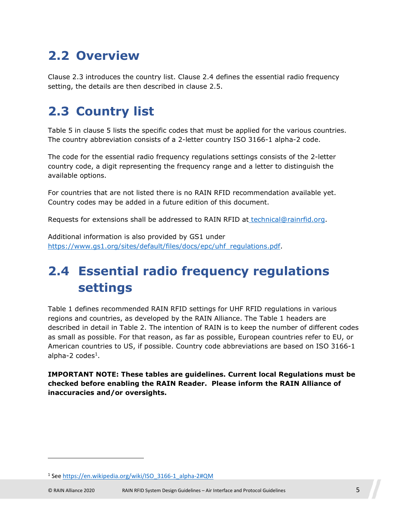## <span id="page-4-0"></span>**2.2 Overview**

Clause [2.3](#page-4-3) introduces the country list. Clause [2.4](#page-4-2) defines the essential radio frequency setting, the details are then described in clause [2.5.](#page-6-0)

## <span id="page-4-3"></span><span id="page-4-1"></span>**2.3 Country list**

[Table 5](#page-22-0) in clause [5](#page-21-0) lists the specific codes that must be applied for the various countries. The country abbreviation consists of a 2-letter country ISO 3166-1 alpha-2 code.

The code for the essential radio frequency regulations settings consists of the 2-letter country code, a digit representing the frequency range and a letter to distinguish the available options.

For countries that are not listed there is no RAIN RFID recommendation available yet. Country codes may be added in a future edition of this document.

Requests for extensions shall be addressed to RAIN RFID at [technical@rainrfid.org.](mailto:technical@rainrfid.org)

Additional information is also provided by GS1 under [https://www.gs1.org/sites/default/files/docs/epc/uhf\\_regulations.pdf.](https://www.gs1.org/sites/default/files/docs/epc/uhf_regulations.pdf)

## <span id="page-4-2"></span>**2.4 Essential radio frequency regulations settings**

[Table 1 defines recommended RAIN RFID settings for UHF RFID regulations in various](#page-5-0)  [regions and countries, as developed by the RAIN Alliance. The Table 1 headers are](#page-6-3)  described in detail in Table 2. The intention of RAIN is to keep the number of different codes as small as possible. For that reason, as far as possible, European countries refer to EU, or [American countries to US, if possible. Country code abbreviations are based on ISO 3166-1](#page-4-4)  alpha-2 codes<sup>1</sup>.

**IMPORTANT NOTE: These tables are guidelines. Current local Regulations must be checked before enabling the RAIN Reader. Please inform the RAIN Alliance of inaccuracies and/or oversights.** 

<span id="page-4-4"></span><sup>&</sup>lt;sup>1</sup> See https://en.wikipedia.org/wiki/ISO 3166-1 alpha-2#QM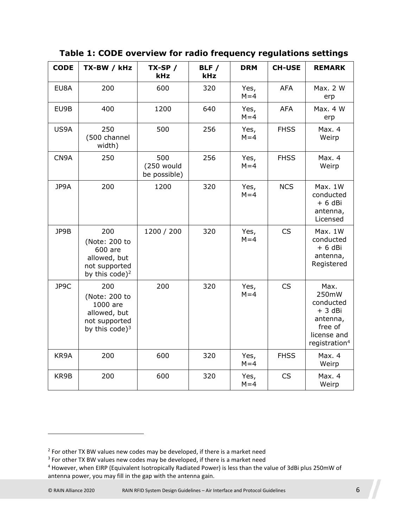| <b>CODE</b> | TX-BW / kHz                                                                                    | $TX-SP$ /<br>kHz                  | BLF /<br>kHz | <b>DRM</b>      | <b>CH-USE</b> | <b>REMARK</b>                                                                                             |
|-------------|------------------------------------------------------------------------------------------------|-----------------------------------|--------------|-----------------|---------------|-----------------------------------------------------------------------------------------------------------|
| EU8A        | 200                                                                                            | 600                               | 320          | Yes,<br>$M = 4$ | <b>AFA</b>    | Max. 2 W<br>erp                                                                                           |
| EU9B        | 400                                                                                            | 1200                              | 640          | Yes,<br>$M = 4$ | <b>AFA</b>    | Max. 4 W<br>erp                                                                                           |
| US9A        | 250<br>(500 channel<br>width)                                                                  | 500                               | 256          | Yes,<br>$M = 4$ | <b>FHSS</b>   | Max. 4<br>Weirp                                                                                           |
| CN9A        | 250                                                                                            | 500<br>(250 would<br>be possible) | 256          | Yes,<br>$M = 4$ | <b>FHSS</b>   | Max. 4<br>Weirp                                                                                           |
| JP9A        | 200                                                                                            | 1200                              | 320          | Yes,<br>$M = 4$ | <b>NCS</b>    | Max. 1W<br>conducted<br>$+ 6$ dBi<br>antenna,<br>Licensed                                                 |
| JP9B        | 200<br>(Note: 200 to<br>600 are<br>allowed, but<br>not supported<br>by this code) <sup>2</sup> | 1200 / 200                        | 320          | Yes,<br>$M = 4$ | <b>CS</b>     | Max. 1W<br>conducted<br>$+ 6$ dBi<br>antenna,<br>Registered                                               |
| JP9C        | 200<br>(Note: 200 to<br>1000 are<br>allowed, but<br>not supported<br>by this code) $3$         | 200                               | 320          | Yes,<br>$M = 4$ | CS            | Max.<br>250mW<br>conducted<br>$+3$ dBi<br>antenna,<br>free of<br>license and<br>registration <sup>4</sup> |
| KR9A        | 200                                                                                            | 600                               | 320          | Yes,<br>$M = 4$ | <b>FHSS</b>   | Max. 4<br>Weirp                                                                                           |
| KR9B        | 200                                                                                            | 600                               | 320          | Yes,<br>$M = 4$ | CS            | Max. 4<br>Weirp                                                                                           |

<span id="page-5-0"></span>**Table 1: CODE overview for radio frequency regulations settings** 

<span id="page-5-2"></span><span id="page-5-1"></span> $2$  For other TX BW values new codes may be developed, if there is a market need

<span id="page-5-3"></span><sup>&</sup>lt;sup>3</sup> For other TX BW values new codes may be developed, if there is a market need

<sup>&</sup>lt;sup>4</sup> However, when EIRP (Equivalent Isotropically Radiated Power) is less than the value of 3dBi plus 250mW of antenna power, you may fill in the gap with the antenna gain.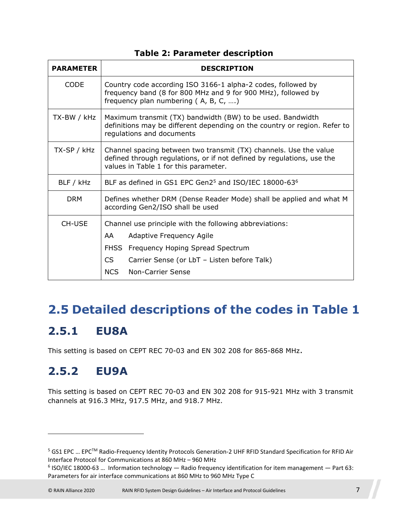| <b>PARAMETER</b> | <b>DESCRIPTION</b>                                                                                                                                                                   |  |  |  |  |
|------------------|--------------------------------------------------------------------------------------------------------------------------------------------------------------------------------------|--|--|--|--|
| <b>CODE</b>      | Country code according ISO 3166-1 alpha-2 codes, followed by<br>frequency band (8 for 800 MHz and 9 for 900 MHz), followed by<br>frequency plan numbering (A, B, C, )                |  |  |  |  |
| TX-BW / kHz      | Maximum transmit (TX) bandwidth (BW) to be used. Bandwidth<br>definitions may be different depending on the country or region. Refer to<br>regulations and documents                 |  |  |  |  |
| TX-SP / kHz      | Channel spacing between two transmit (TX) channels. Use the value<br>defined through regulations, or if not defined by regulations, use the<br>values in Table 1 for this parameter. |  |  |  |  |
| BLF / kHz        | BLF as defined in GS1 EPC Gen2 <sup>5</sup> and ISO/IEC 18000-63 <sup>6</sup>                                                                                                        |  |  |  |  |
| <b>DRM</b>       | Defines whether DRM (Dense Reader Mode) shall be applied and what M<br>according Gen2/ISO shall be used                                                                              |  |  |  |  |
| CH-USE           | Channel use principle with the following abbreviations:                                                                                                                              |  |  |  |  |
|                  | AA<br>Adaptive Frequency Agile                                                                                                                                                       |  |  |  |  |
|                  | FHSS Frequency Hoping Spread Spectrum                                                                                                                                                |  |  |  |  |
|                  | CS<br>Carrier Sense (or LbT - Listen before Talk)                                                                                                                                    |  |  |  |  |
|                  | <b>NCS</b><br>Non-Carrier Sense                                                                                                                                                      |  |  |  |  |

#### <span id="page-6-3"></span>**Table 2: Parameter description**

### <span id="page-6-0"></span>**2.5 Detailed descriptions of the codes in [Table 1](#page-5-0)**

#### <span id="page-6-1"></span>**2.5.1 EU8A**

This setting is based on CEPT REC 70-03 and EN 302 208 for 865-868 MHz.

### <span id="page-6-2"></span>**2.5.2 EU9A**

This setting is based on CEPT REC 70-03 and EN 302 208 for 915-921 MHz with 3 transmit channels at 916.3 MHz, 917.5 MHz, and 918.7 MHz.

<span id="page-6-4"></span><sup>&</sup>lt;sup>5</sup> GS1 EPC ... EPC™ Radio-Frequency Identity Protocols Generation-2 UHF RFID Standard Specification for RFID Air Interface Protocol for Communications at 860 MHz – 960 MHz

<span id="page-6-5"></span><sup>6</sup> ISO/IEC 18000-63 … Information technology — Radio frequency identification for item management — Part 63: Parameters for air interface communications at 860 MHz to 960 MHz Type C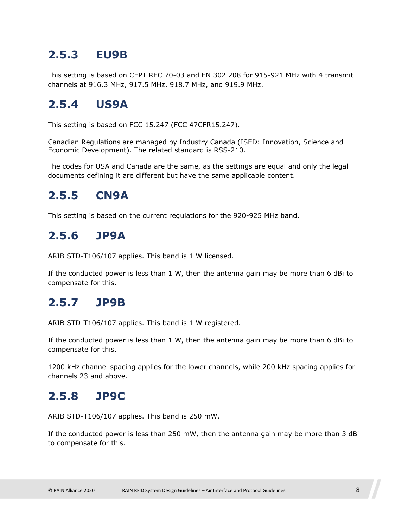#### <span id="page-7-0"></span>**2.5.3 EU9B**

This setting is based on CEPT REC 70-03 and EN 302 208 for 915-921 MHz with 4 transmit channels at 916.3 MHz, 917.5 MHz, 918.7 MHz, and 919.9 MHz.

#### <span id="page-7-1"></span>**2.5.4 US9A**

This setting is based on FCC 15.247 (FCC 47CFR15.247).

Canadian Regulations are managed by Industry Canada (ISED: Innovation, Science and Economic Development). The related standard is RSS-210.

The codes for USA and Canada are the same, as the settings are equal and only the legal documents defining it are different but have the same applicable content.

#### <span id="page-7-2"></span>**2.5.5 CN9A**

This setting is based on the current regulations for the 920-925 MHz band.

#### <span id="page-7-3"></span>**2.5.6 JP9A**

ARIB STD-T106/107 applies. This band is 1 W licensed.

If the conducted power is less than 1 W, then the antenna gain may be more than 6 dBi to compensate for this.

#### <span id="page-7-4"></span>**2.5.7 JP9B**

ARIB STD-T106/107 applies. This band is 1 W registered.

If the conducted power is less than 1 W, then the antenna gain may be more than 6 dBi to compensate for this.

1200 kHz channel spacing applies for the lower channels, while 200 kHz spacing applies for channels 23 and above.

#### <span id="page-7-5"></span>**2.5.8 JP9C**

ARIB STD-T106/107 applies. This band is 250 mW.

If the conducted power is less than 250 mW, then the antenna gain may be more than 3 dBi to compensate for this.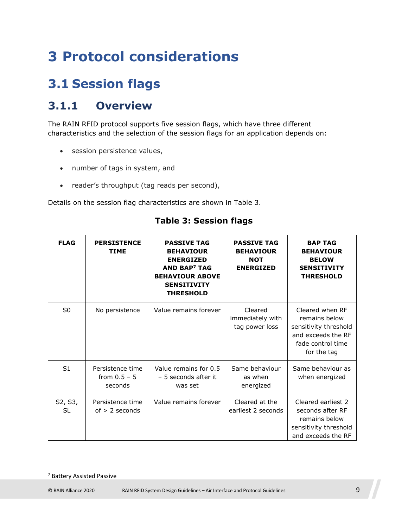## <span id="page-8-0"></span>**3 Protocol considerations**

## <span id="page-8-1"></span>**3.1 Session flags**

#### <span id="page-8-2"></span>**3.1.1 Overview**

The RAIN RFID protocol supports five session flags, which have three different characteristics and the selection of the session flags for an application depends on:

- session persistence values,
- number of tags in system, and
- reader's throughput (tag reads per second),

Details on the session flag characteristics are shown in [Table 3](#page-8-3).

| <b>FLAG</b>    | <b>PERSISTENCE</b><br><b>TIME</b>             | <b>PASSIVE TAG</b><br><b>BEHAVIOUR</b><br><b>ENERGIZED</b><br><b>AND BAP<sup>7</sup> TAG</b><br><b>BEHAVIOUR ABOVE</b><br><b>SENSITIVITY</b><br><b>THRESHOLD</b> | <b>PASSIVE TAG</b><br><b>BEHAVIOUR</b><br><b>NOT</b><br><b>ENERGIZED</b> | <b>BAP TAG</b><br><b>BEHAVIOUR</b><br><b>BELOW</b><br><b>SENSITIVITY</b><br><b>THRESHOLD</b>                        |
|----------------|-----------------------------------------------|------------------------------------------------------------------------------------------------------------------------------------------------------------------|--------------------------------------------------------------------------|---------------------------------------------------------------------------------------------------------------------|
| S <sub>0</sub> | No persistence                                | Value remains forever                                                                                                                                            | Cleared<br>immediately with<br>tag power loss                            | Cleared when RF<br>remains below<br>sensitivity threshold<br>and exceeds the RF<br>fade control time<br>for the tag |
| S <sub>1</sub> | Persistence time<br>from $0.5 - 5$<br>seconds | Value remains for 0.5<br>- 5 seconds after it<br>was set                                                                                                         | Same behaviour<br>as when<br>energized                                   | Same behaviour as<br>when energized                                                                                 |
| S2, S3,<br>SL  | Persistence time<br>$of > 2$ seconds          | Value remains forever                                                                                                                                            | Cleared at the<br>earliest 2 seconds                                     | Cleared earliest 2<br>seconds after RF<br>remains below<br>sensitivity threshold<br>and exceeds the RF              |

#### <span id="page-8-3"></span>**Table 3: Session flags**

<span id="page-8-4"></span><sup>7</sup> Battery Assisted Passive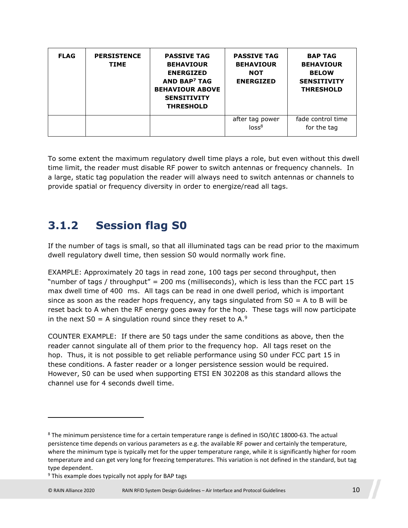| <b>FLAG</b> | <b>PERSISTENCE</b><br><b>TIME</b> | <b>PASSIVE TAG</b><br><b>BEHAVIOUR</b><br><b>ENERGIZED</b><br><b>AND BAP<sup>7</sup> TAG</b><br><b>BEHAVIOUR ABOVE</b><br><b>SENSITIVITY</b><br><b>THRESHOLD</b> | <b>PASSIVE TAG</b><br><b>BEHAVIOUR</b><br><b>NOT</b><br><b>ENERGIZED</b> | <b>BAP TAG</b><br><b>BEHAVIOUR</b><br><b>BELOW</b><br><b>SENSITIVITY</b><br><b>THRESHOLD</b> |
|-------------|-----------------------------------|------------------------------------------------------------------------------------------------------------------------------------------------------------------|--------------------------------------------------------------------------|----------------------------------------------------------------------------------------------|
|             |                                   |                                                                                                                                                                  | after tag power<br>loss <sup>8</sup>                                     | fade control time<br>for the tag                                                             |

To some extent the maximum regulatory dwell time plays a role, but even without this dwell time limit, the reader must disable RF power to switch antennas or frequency channels. In a large, static tag population the reader will always need to switch antennas or channels to provide spatial or frequency diversity in order to energize/read all tags.

#### <span id="page-9-0"></span>**3.1.2 Session flag S0**

If the number of tags is small, so that all illuminated tags can be read prior to the maximum dwell regulatory dwell time, then session S0 would normally work fine.

EXAMPLE: Approximately 20 tags in read zone, 100 tags per second throughput, then "number of tags / throughput" = 200 ms (milliseconds), which is less than the FCC part 15 max dwell time of 400 ms. All tags can be read in one dwell period, which is important since as soon as the reader hops frequency, any tags singulated from  $SO = A$  to B will be reset back to A when the RF energy goes away for the ho[p.](#page-9-2) These tags will now participate in the next  $SO = A$  singulation round since they reset to A.<sup>9</sup>

COUNTER EXAMPLE: If there are 50 tags under the same conditions as above, then the reader cannot singulate all of them prior to the frequency hop. All tags reset on the hop. Thus, it is not possible to get reliable performance using S0 under FCC part 15 in these conditions. A faster reader or a longer persistence session would be required. However, S0 can be used when supporting ETSI EN 302208 as this standard allows the channel use for 4 seconds dwell time.

<span id="page-9-1"></span><sup>&</sup>lt;sup>8</sup> The minimum persistence time for a certain temperature range is defined in ISO/IEC 18000-63. The actual persistence time depends on various parameters as e.g. the available RF power and certainly the temperature, where the minimum type is typically met for the upper temperature range, while it is significantly higher for room temperature and can get very long for freezing temperatures. This variation is not defined in the standard, but tag type dependent.

<span id="page-9-2"></span><sup>&</sup>lt;sup>9</sup> This example does typically not apply for BAP tags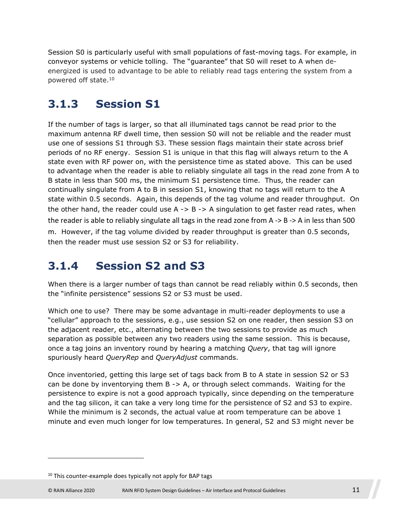Session S0 is particularly useful with small populations of fast-moving tags. For example, in conveyor systems or vehicle tolling. The "guarantee" that S0 will reset to A when deenergized is used [to](#page-10-2) advantage to be able to reliably read tags entering the system from a powered off state.<sup>10</sup>

#### <span id="page-10-0"></span>**3.1.3 Session S1**

If the number of tags is larger, so that all illuminated tags cannot be read prior to the maximum antenna RF dwell time, then session S0 will not be reliable and the reader must use one of sessions S1 through S3. These session flags maintain their state across brief periods of no RF energy. Session S1 is unique in that this flag will always return to the A state even with RF power on, with the persistence time as stated above. This can be used to advantage when the reader is able to reliably singulate all tags in the read zone from A to B state in less than 500 ms, the minimum S1 persistence time. Thus, the reader can continually singulate from A to B in session S1, knowing that no tags will return to the A state within 0.5 seconds. Again, this depends of the tag volume and reader throughput. On the other hand, the reader could use  $A \rightarrow B \rightarrow A$  singulation to get faster read rates, when the reader is able to reliably singulate all tags in the read zone from A -> B -> A in less than 500 m. However, if the tag volume divided by reader throughput is greater than 0.5 seconds, then the reader must use session S2 or S3 for reliability.

#### <span id="page-10-1"></span>**3.1.4 Session S2 and S3**

When there is a larger number of tags than cannot be read reliably within 0.5 seconds, then the "infinite persistence" sessions S2 or S3 must be used.

Which one to use? There may be some advantage in multi-reader deployments to use a "cellular" approach to the sessions, e.g., use session S2 on one reader, then session S3 on the adjacent reader, etc., alternating between the two sessions to provide as much separation as possible between any two readers using the same session. This is because, once a tag joins an inventory round by hearing a matching *Query*, that tag will ignore spuriously heard *QueryRep* and *QueryAdjust* commands.

Once inventoried, getting this large set of tags back from B to A state in session S2 or S3 can be done by inventorying them B -> A, or through select commands. Waiting for the persistence to expire is not a good approach typically, since depending on the temperature and the tag silicon, it can take a very long time for the persistence of S2 and S3 to expire. While the minimum is 2 seconds, the actual value at room temperature can be above 1 minute and even much longer for low temperatures. In general, S2 and S3 might never be

<span id="page-10-2"></span> $10$  This counter-example does typically not apply for BAP tags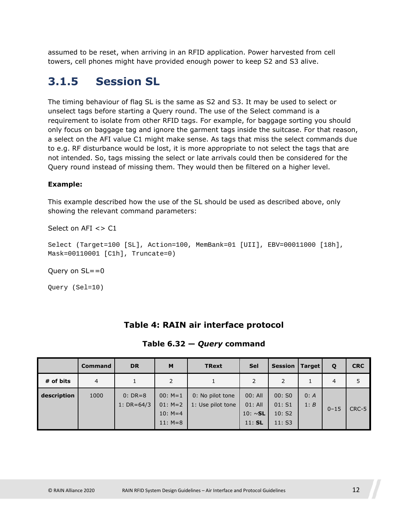assumed to be reset, when arriving in an RFID application. Power harvested from cell towers, cell phones might have provided enough power to keep S2 and S3 alive.

#### <span id="page-11-0"></span>**3.1.5 Session SL**

The timing behaviour of flag SL is the same as S2 and S3. It may be used to select or unselect tags before starting a Query round. The use of the Select command is a requirement to isolate from other RFID tags. For example, for baggage sorting you should only focus on baggage tag and ignore the garment tags inside the suitcase. For that reason, a select on the AFI value C1 might make sense. As tags that miss the select commands due to e.g. RF disturbance would be lost, it is more appropriate to not select the tags that are not intended. So, tags missing the select or late arrivals could then be considered for the Query round instead of missing them. They would then be filtered on a higher level.

#### **Example:**

This example described how the use of the SL should be used as described above, only showing the relevant command parameters:

Select on AFI <> C1

```
Select (Target=100 [SL], Action=100, MemBank=01 [UII], EBV=00011000 [18h], 
Mask=00110001 [C1h], Truncate=0)
```
#### Query on SL==0

Query (Sel=10)

#### **Table 4: RAIN air interface protocol**

|  |  |  | Table $6.32 -$ Query command |
|--|--|--|------------------------------|
|--|--|--|------------------------------|

<span id="page-11-1"></span>

|             | <b>Command</b> | <b>DR</b>                     | M                                   | <b>TRext</b>                          | <b>Sel</b>                            | <b>Session</b>            | Target       | Q        | <b>CRC</b> |
|-------------|----------------|-------------------------------|-------------------------------------|---------------------------------------|---------------------------------------|---------------------------|--------------|----------|------------|
| # of bits   | $\overline{4}$ |                               |                                     |                                       |                                       | 2                         |              | 4        |            |
| description | 1000           | $0: DR = 8$<br>1: $DR = 64/3$ | $00: M=1$<br>$01: M=2$<br>$10: M=4$ | 0: No pilot tone<br>1: Use pilot tone | 00: All<br>$01:$ All<br>10: $\sim$ SL | 00:50<br>01: S1<br>10: S2 | 0: A<br>1: B | $0 - 15$ | CRC-5      |
|             |                |                               | $11: M=8$                           |                                       | $11:$ SL                              | 11: S3                    |              |          |            |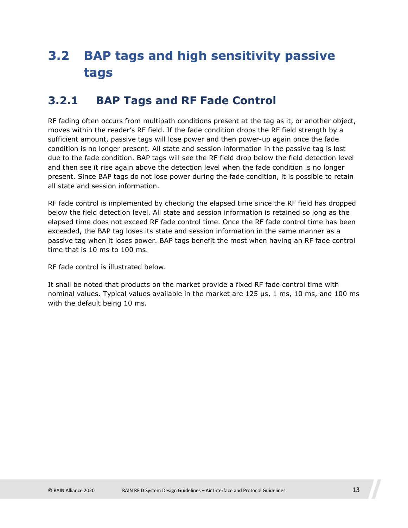## <span id="page-12-0"></span>**3.2 BAP tags and high sensitivity passive tags**

#### <span id="page-12-1"></span>**3.2.1 BAP Tags and RF Fade Control**

RF fading often occurs from multipath conditions present at the tag as it, or another object, moves within the reader's RF field. If the fade condition drops the RF field strength by a sufficient amount, passive tags will lose power and then power-up again once the fade condition is no longer present. All state and session information in the passive tag is lost due to the fade condition. BAP tags will see the RF field drop below the field detection level and then see it rise again above the detection level when the fade condition is no longer present. Since BAP tags do not lose power during the fade condition, it is possible to retain all state and session information.

RF fade control is implemented by checking the elapsed time since the RF field has dropped below the field detection level. All state and session information is retained so long as the elapsed time does not exceed RF fade control time. Once the RF fade control time has been exceeded, the BAP tag loses its state and session information in the same manner as a passive tag when it loses power. BAP tags benefit the most when having an RF fade control time that is 10 ms to 100 ms.

RF fade control is illustrated below.

It shall be noted that products on the market provide a fixed RF fade control time with nominal values. Typical values available in the market are 125 µs, 1 ms, 10 ms, and 100 ms with the default being 10 ms.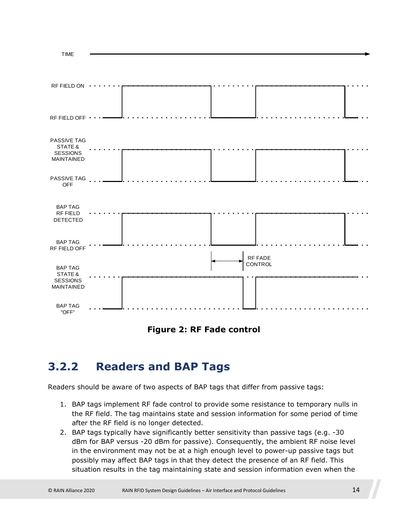

**Figure 2: RF Fade control** 

#### <span id="page-13-0"></span>**3.2.2 Readers and BAP Tags**

Readers should be aware of two aspects of BAP tags that differ from passive tags:

- 1. BAP tags implement RF fade control to provide some resistance to temporary nulls in the RF field. The tag maintains state and session information for some period of time after the RF field is no longer detected.
- 2. BAP tags typically have significantly better sensitivity than passive tags (e.g. -30 dBm for BAP versus -20 dBm for passive). Consequently, the ambient RF noise level in the environment may not be at a high enough level to power-up passive tags but possibly may affect BAP tags in that they detect the presence of an RF field. This situation results in the tag maintaining state and session information even when the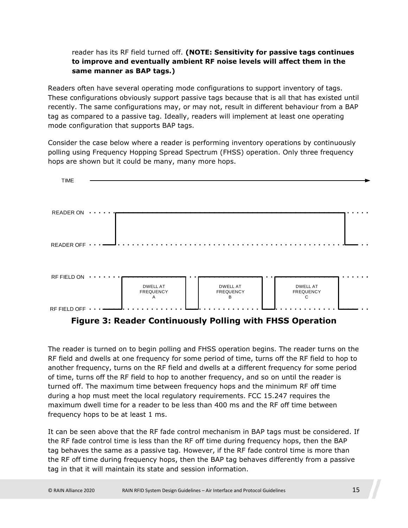#### reader has its RF field turned off. **(NOTE: Sensitivity for passive tags continues to improve and eventually ambient RF noise levels will affect them in the same manner as BAP tags.)**

Readers often have several operating mode configurations to support inventory of tags. These configurations obviously support passive tags because that is all that has existed until recently. The same configurations may, or may not, result in different behaviour from a BAP tag as compared to a passive tag. Ideally, readers will implement at least one operating mode configuration that supports BAP tags.

Consider the case below where a reader is performing inventory operations by continuously polling using Frequency Hopping Spread Spectrum (FHSS) operation. Only three frequency hops are shown but it could be many, many more hops.



**Figure 3: Reader Continuously Polling with FHSS Operation** 

The reader is turned on to begin polling and FHSS operation begins. The reader turns on the RF field and dwells at one frequency for some period of time, turns off the RF field to hop to another frequency, turns on the RF field and dwells at a different frequency for some period of time, turns off the RF field to hop to another frequency, and so on until the reader is turned off. The maximum time between frequency hops and the minimum RF off time during a hop must meet the local regulatory requirements. FCC 15.247 requires the maximum dwell time for a reader to be less than 400 ms and the RF off time between frequency hops to be at least 1 ms.

It can be seen above that the RF fade control mechanism in BAP tags must be considered. If the RF fade control time is less than the RF off time during frequency hops, then the BAP tag behaves the same as a passive tag. However, if the RF fade control time is more than the RF off time during frequency hops, then the BAP tag behaves differently from a passive tag in that it will maintain its state and session information.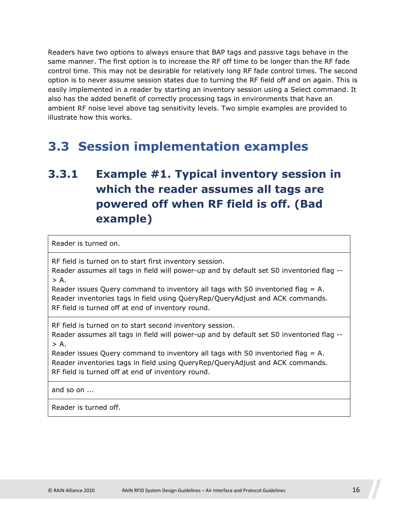Readers have two options to always ensure that BAP tags and passive tags behave in the same manner. The first option is to increase the RF off time to be longer than the RF fade control time. This may not be desirable for relatively long RF fade control times. The second option is to never assume session states due to turning the RF field off and on again. This is easily implemented in a reader by starting an inventory session using a Select command. It also has the added benefit of correctly processing tags in environments that have an ambient RF noise level above tag sensitivity levels. Two simple examples are provided to illustrate how this works.

### <span id="page-15-0"></span>**3.3 Session implementation examples**

### <span id="page-15-1"></span>**3.3.1 Example #1. Typical inventory session in which the reader assumes all tags are powered off when RF field is off. (Bad example)**

Reader is turned on.

RF field is turned on to start first inventory session.

Reader assumes all tags in field will power-up and by default set S0 inventoried flag --  $> A$ .

Reader issues Query command to inventory all tags with S0 inventoried flag = A. Reader inventories tags in field using QueryRep/QueryAdjust and ACK commands. RF field is turned off at end of inventory round.

RF field is turned on to start second inventory session.

Reader assumes all tags in field will power-up and by default set S0 inventoried flag --  $> A$ .

Reader issues Query command to inventory all tags with S0 inventoried flag = A. Reader inventories tags in field using QueryRep/QueryAdjust and ACK commands. RF field is turned off at end of inventory round.

and so on ...

Reader is turned off.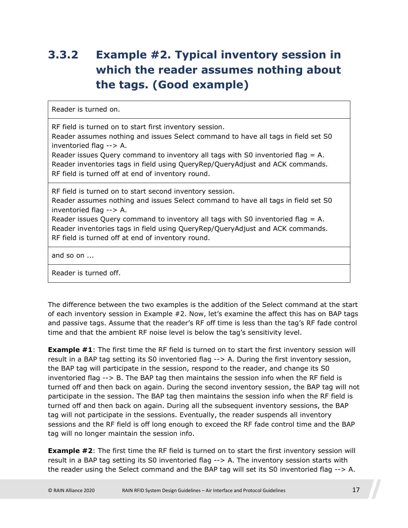### <span id="page-16-0"></span>**3.3.2 Example #2. Typical inventory session in which the reader assumes nothing about the tags. (Good example)**

Reader is turned on.

RF field is turned on to start first inventory session.

Reader assumes nothing and issues Select command to have all tags in field set S0 inventoried flag --> A.

Reader issues Query command to inventory all tags with S0 inventoried flag = A. Reader inventories tags in field using QueryRep/QueryAdjust and ACK commands. RF field is turned off at end of inventory round.

RF field is turned on to start second inventory session.

Reader assumes nothing and issues Select command to have all tags in field set S0 inventoried flag --> A.

Reader issues Query command to inventory all tags with S0 inventoried flag = A. Reader inventories tags in field using QueryRep/QueryAdjust and ACK commands. RF field is turned off at end of inventory round.

and so on ...

Reader is turned off.

The difference between the two examples is the addition of the Select command at the start of each inventory session in Example #2. Now, let's examine the affect this has on BAP tags and passive tags. Assume that the reader's RF off time is less than the tag's RF fade control time and that the ambient RF noise level is below the tag's sensitivity level.

**Example #1**: The first time the RF field is turned on to start the first inventory session will result in a BAP tag setting its S0 inventoried flag --> A. During the first inventory session, the BAP tag will participate in the session, respond to the reader, and change its S0 inventoried flag --> B. The BAP tag then maintains the session info when the RF field is turned off and then back on again. During the second inventory session, the BAP tag will not participate in the session. The BAP tag then maintains the session info when the RF field is turned off and then back on again. During all the subsequent inventory sessions, the BAP tag will not participate in the sessions. Eventually, the reader suspends all inventory sessions and the RF field is off long enough to exceed the RF fade control time and the BAP tag will no longer maintain the session info.

**Example #2**: The first time the RF field is turned on to start the first inventory session will result in a BAP tag setting its S0 inventoried flag --> A. The inventory session starts with the reader using the Select command and the BAP tag will set its S0 inventoried flag --> A.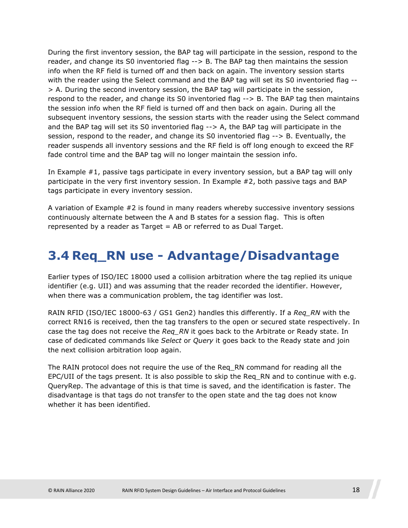During the first inventory session, the BAP tag will participate in the session, respond to the reader, and change its S0 inventoried flag --> B. The BAP tag then maintains the session info when the RF field is turned off and then back on again. The inventory session starts with the reader using the Select command and the BAP tag will set its S0 inventoried flag --> A. During the second inventory session, the BAP tag will participate in the session, respond to the reader, and change its S0 inventoried flag --> B. The BAP tag then maintains the session info when the RF field is turned off and then back on again. During all the subsequent inventory sessions, the session starts with the reader using the Select command and the BAP tag will set its S0 inventoried flag --> A, the BAP tag will participate in the session, respond to the reader, and change its S0 inventoried flag --> B. Eventually, the reader suspends all inventory sessions and the RF field is off long enough to exceed the RF fade control time and the BAP tag will no longer maintain the session info.

In Example #1, passive tags participate in every inventory session, but a BAP tag will only participate in the very first inventory session. In Example #2, both passive tags and BAP tags participate in every inventory session.

A variation of Example #2 is found in many readers whereby successive inventory sessions continuously alternate between the A and B states for a session flag. This is often represented by a reader as Target = AB or referred to as Dual Target.

### <span id="page-17-0"></span>**3.4 Req\_RN use - Advantage/Disadvantage**

Earlier types of ISO/IEC 18000 used a collision arbitration where the tag replied its unique identifier (e.g. UII) and was assuming that the reader recorded the identifier. However, when there was a communication problem, the tag identifier was lost.

RAIN RFID (ISO/IEC 18000-63 / GS1 Gen2) handles this differently. If a *Req\_RN* with the correct RN16 is received, then the tag transfers to the open or secured state respectively. In case the tag does not receive the *Req\_RN* it goes back to the Arbitrate or Ready state. In case of dedicated commands like *Select* or *Query* it goes back to the Ready state and join the next collision arbitration loop again.

The RAIN protocol does not require the use of the Req\_RN command for reading all the EPC/UII of the tags present. It is also possible to skip the Req\_RN and to continue with e.g. QueryRep. The advantage of this is that time is saved, and the identification is faster. The disadvantage is that tags do not transfer to the open state and the tag does not know whether it has been identified.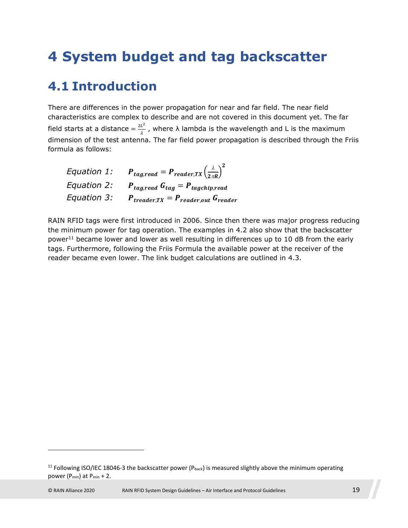## <span id="page-18-0"></span>**4 System budget and tag backscatter**

#### <span id="page-18-1"></span>**4.1 Introduction**

There are differences in the power propagation for near and far field. The near field characteristics are complex to describe and are not covered in this document yet. The far field starts at a distance  $=\frac{2L^2}{\lambda}$  $\frac{L}{\lambda}$  , where  $\lambda$  lambda is the wavelength and L is the maximum dimension of the test antenna. The far field power propagation is described through the Friis formula as follows:

<span id="page-18-5"></span><span id="page-18-4"></span><span id="page-18-3"></span>

| Equation 1: | $\boldsymbol{P}_{tag, read} = \boldsymbol{P}_{reader, TX} \left(\frac{\lambda}{2 \pi R}\right)^2$ |
|-------------|---------------------------------------------------------------------------------------------------|
| Equation 2: | $P_{tag, read} G_{tag} = P_{tagchip, read}$                                                       |
| Equation 3: | $P_{treader,TX} = P_{reader,out} G_{reader}$                                                      |

[RAIN RFID tags were first introduced in 2006. Since then there was major progress reducing](#page-19-0)  the m[inim](#page-18-2)um power for tag operation. The examples in 4.2 also show that the backscatter power<sup>11</sup> became lower and lower as well resulting in differences up to 10 dB from the early tags. Furthermore, following the Friis Formula the available power at th[e re](#page-19-3)ceiver of the reader became even lower. The link budget calculations are outlined in 4.3.

<span id="page-18-2"></span><sup>&</sup>lt;sup>11</sup> Following ISO/IEC 18046-3 the backscatter power (Pback) is measured slightly above the minimum operating power (Pmin) at Pmin + 2.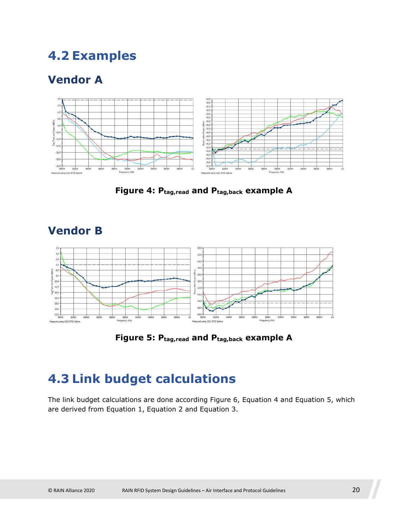### <span id="page-19-0"></span>**4.2 Examples**

#### <span id="page-19-1"></span>**Vendor A**



**Figure 4: Ptag,read and Ptag,back example A** 

<span id="page-19-2"></span>

**Figure 5: Ptag,read and Ptag,back example A** 

## <span id="page-19-3"></span>**4.3 Link budget calculations**

The link budget c[alculations](#page-18-3) [are done acc](#page-18-4)ordi[ng](#page-18-5) [Figure 6](#page-20-0), [Equation 4](#page-20-1) and [Equation 5](#page-20-2), which are derived from Equation 1, Equation 2 and Equation 3.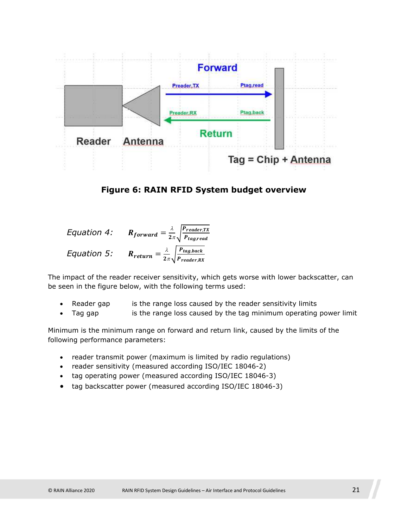<span id="page-20-0"></span>

**Figure 6: RAIN RFID System budget overview** 

<span id="page-20-2"></span><span id="page-20-1"></span>Equation 4: 
$$
R_{forward} = \frac{\lambda}{2\pi} \sqrt{\frac{P_{reader,TX}}{P_{tag, read}}}
$$
  
Equation 5:  $R_{return} = \frac{\lambda}{2\pi} \sqrt{\frac{P_{tag, back}}{P_{reader,RX}}}$ 

The impact of the reader receiver sensitivity, which gets worse with lower backscatter, can be seen in the figure below, with the following terms used:

- Reader gap is the range loss caused by the reader sensitivity limits
- Tag gap is the range loss caused by the tag minimum operating power limit

Minimum is the minimum range on forward and return link, caused by the limits of the following performance parameters:

- reader transmit power (maximum is limited by radio regulations)
- reader sensitivity (measured according ISO/IEC 18046-2)
- tag operating power (measured according ISO/IEC 18046-3)
- tag backscatter power (measured according ISO/IEC 18046-3)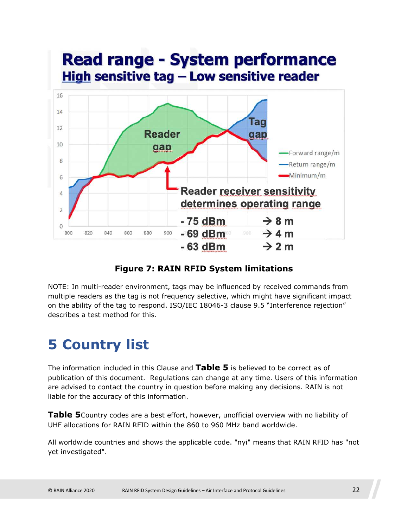

#### **Figure 7: RAIN RFID System limitations**

NOTE: In multi-reader environment, tags may be influenced by received commands from multiple readers as the tag is not frequency selective, which might have significant impact on the ability of the tag to respond. ISO/IEC 18046-3 clause 9.5 "Interference rejection" describes a test method for this.

## <span id="page-21-0"></span>**5 Country list**

The information included in this Clause and **[Table 5](#page-22-0)** is believed to be correct as of publication of this document. Regulations can change at any time. Users of this information are advised to contact the country in question before making any decisions. RAIN is not liable for the accuracy of this information.

**[Table 5](#page-22-1)**Country codes are a best effort, however, unofficial overview with no liability of UHF allocations for RAIN RFID within the 860 to 960 MHz band worldwide.

All worldwide countries and shows the applicable code. "nyi" means that RAIN RFID has "not yet investigated".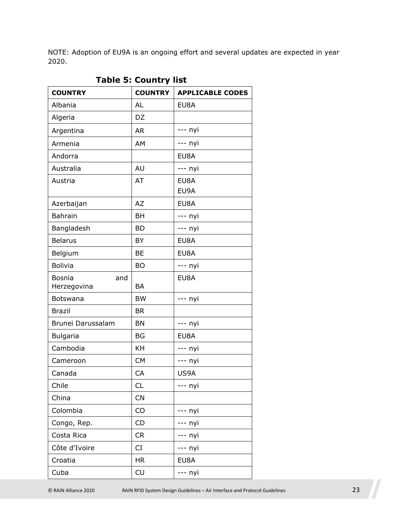NOTE: Adoption of EU9A is an ongoing effort and several updates are expected in year 2020.

<span id="page-22-0"></span>

| <b>COUNTRY</b>                      | <b>COUNTRY</b> | <b>APPLICABLE CODES</b> |
|-------------------------------------|----------------|-------------------------|
| Albania                             | <b>AL</b>      | EU8A                    |
| Algeria                             | DZ             |                         |
| Argentina                           | <b>AR</b>      | --- nyi                 |
| Armenia                             | AM             | --- nyi                 |
| Andorra                             |                | EU8A                    |
| Australia                           | AU             | --- nyi                 |
| Austria                             | AT             | EU8A<br>EU9A            |
| Azerbaijan                          | <b>AZ</b>      | EU8A                    |
| <b>Bahrain</b>                      | <b>BH</b>      | --- nyi                 |
| Bangladesh                          | <b>BD</b>      | --- nyi                 |
| <b>Belarus</b>                      | <b>BY</b>      | EU8A                    |
| Belgium                             | <b>BE</b>      | EU8A                    |
| <b>Bolivia</b>                      | <b>BO</b>      | --- nyi                 |
| <b>Bosnia</b><br>and<br>Herzegovina | <b>BA</b>      | EU8A                    |
| Botswana                            | <b>BW</b>      | --- nyi                 |
| <b>Brazil</b>                       | <b>BR</b>      |                         |
| Brunei Darussalam                   | <b>BN</b>      | --- nyi                 |
| <b>Bulgaria</b>                     | <b>BG</b>      | EU8A                    |
| Cambodia                            | KH             | --- nyi                 |
| Cameroon                            | <b>CM</b>      | --- nyi                 |
| Canada                              | CA             | US9A                    |
| Chile                               | CL             | --- nyi                 |
| China                               | CN             |                         |
| Colombia                            | CO             | --- nyi                 |
| Congo, Rep.                         | CD             | --- nyi                 |
| Costa Rica                          | CR             | --- nyi                 |
| Côte d'Ivoire                       | CI             | --- nyi                 |
| Croatia                             | <b>HR</b>      | EU8A                    |
| Cuba                                | CU             | --- nyi                 |

<span id="page-22-1"></span>**Table 5: Country list**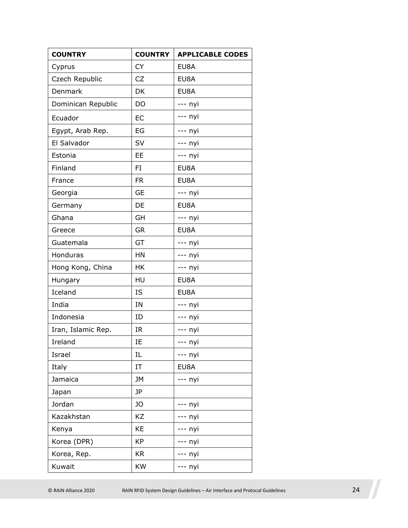| <b>COUNTRY</b>     | <b>COUNTRY</b> | <b>APPLICABLE CODES</b> |
|--------------------|----------------|-------------------------|
| Cyprus             | <b>CY</b>      | EU8A                    |
| Czech Republic     | <b>CZ</b>      | EU8A                    |
| Denmark            | DK             | EU8A                    |
| Dominican Republic | DO             | --- nyi                 |
| Ecuador            | EC             | --- nyi                 |
| Egypt, Arab Rep.   | EG             | --- nyi                 |
| El Salvador        | SV             | --- nyi                 |
| Estonia            | EE             | --- nyi                 |
| Finland            | FI             | EU8A                    |
| France             | <b>FR</b>      | EU8A                    |
| Georgia            | <b>GE</b>      | --- nyi                 |
| Germany            | DE             | EU8A                    |
| Ghana              | GH             | --- nyi                 |
| Greece             | <b>GR</b>      | EU8A                    |
| Guatemala          | GT             | --- nyi                 |
| Honduras           | HN             | --- nyi                 |
| Hong Kong, China   | HK             | --- nyi                 |
| Hungary            | HU             | EU8A                    |
| Iceland            | IS             | EU8A                    |
| India              | IN             | --- nyi                 |
| Indonesia          | ID             | --- nyi                 |
| Iran, Islamic Rep. | IR             | --- nyi                 |
| Ireland            | IE             | --- nyi                 |
| Israel             | IL             | --- nyi                 |
| Italy              | ΙT             | EU8A                    |
| Jamaica            | <b>JM</b>      | --- nyi                 |
| Japan              | <b>JP</b>      |                         |
| Jordan             | JO             | --- nyi                 |
| Kazakhstan         | KZ             | -- nyi                  |
| Kenya              | KE             | -- nyi                  |
| Korea (DPR)        | <b>KP</b>      | - nyi                   |
| Korea, Rep.        | <b>KR</b>      | -- nyi                  |
| Kuwait             | <b>KW</b>      | --- nyi                 |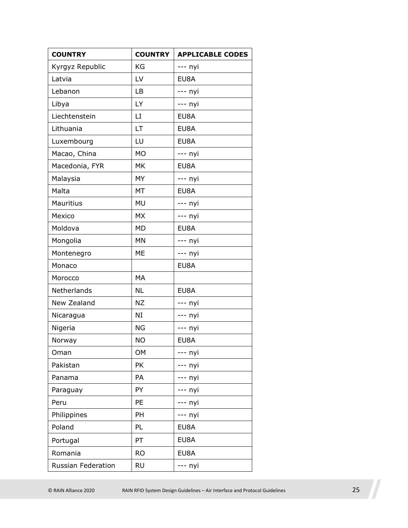| <b>COUNTRY</b>     | <b>COUNTRY</b> | <b>APPLICABLE CODES</b> |
|--------------------|----------------|-------------------------|
| Kyrgyz Republic    | KG             | --- nyi                 |
| Latvia             | LV             | EU8A                    |
| Lebanon            | LB             | --- nyi                 |
| Libya              | LY             | --- nyi                 |
| Liechtenstein      | LI             | EU8A                    |
| Lithuania          | LT             | EU8A                    |
| Luxembourg         | LU             | EU8A                    |
| Macao, China       | <b>MO</b>      | --- nyi                 |
| Macedonia, FYR     | MK             | EU8A                    |
| Malaysia           | <b>MY</b>      | --- nyi                 |
| Malta              | <b>MT</b>      | EU8A                    |
| Mauritius          | <b>MU</b>      | --- nyi                 |
| Mexico             | <b>MX</b>      | --- nyi                 |
| Moldova            | <b>MD</b>      | EU8A                    |
| Mongolia           | <b>MN</b>      | --- nyi                 |
| Montenegro         | ME             | --- nyi                 |
| Monaco             |                | EU8A                    |
| Morocco            | MA             |                         |
| Netherlands        | <b>NL</b>      | EU8A                    |
| New Zealand        | <b>NZ</b>      | --- nyi                 |
| Nicaragua          | NI             | --- nyi                 |
| Nigeria            | <b>NG</b>      | --- nyi                 |
| Norway             | <b>NO</b>      | EU8A                    |
| Oman               | OM             | -- nyi                  |
| Pakistan           | PK             | - nyi                   |
| Panama             | PA             | - nyi                   |
| Paraguay           | PY             | - nyi                   |
| Peru               | PE             | --- nyi                 |
| Philippines        | PH             | --- nyi                 |
| Poland             | PL             | EU8A                    |
| Portugal           | PT             | EU8A                    |
| Romania            | <b>RO</b>      | EU8A                    |
| Russian Federation | <b>RU</b>      | --- nyi                 |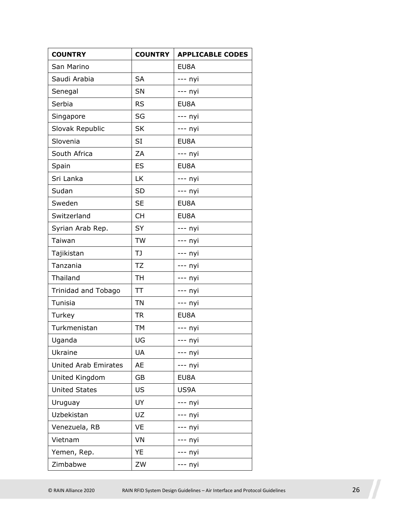| <b>COUNTRY</b>              | <b>COUNTRY</b> | <b>APPLICABLE CODES</b> |
|-----------------------------|----------------|-------------------------|
| San Marino                  |                | EU8A                    |
| Saudi Arabia                | <b>SA</b>      | --- nyi                 |
| Senegal                     | SN             | --- nyi                 |
| Serbia                      | <b>RS</b>      | EU8A                    |
| Singapore                   | SG             | --- nyi                 |
| Slovak Republic             | <b>SK</b>      | --- nyi                 |
| Slovenia                    | <b>SI</b>      | EU8A                    |
| South Africa                | ZA             | --- nyi                 |
| Spain                       | ES             | EU8A                    |
| Sri Lanka                   | <b>LK</b>      | --- nyi                 |
| Sudan                       | <b>SD</b>      | --- nyi                 |
| Sweden                      | <b>SE</b>      | EU8A                    |
| Switzerland                 | <b>CH</b>      | EU8A                    |
| Syrian Arab Rep.            | SY             | --- nyi                 |
| Taiwan                      | <b>TW</b>      | $--$ nyi                |
| Tajikistan                  | TJ             | --- nyi                 |
| Tanzania                    | <b>TZ</b>      | --- nyi                 |
| Thailand                    | <b>TH</b>      | --- nyi                 |
| Trinidad and Tobago         | TT             | --- nyi                 |
| Tunisia                     | <b>TN</b>      | --- nyi                 |
| Turkey                      | <b>TR</b>      | EU8A                    |
| Turkmenistan                | <b>TM</b>      | --- nyi                 |
| Uganda                      | UG             | --- nyi                 |
| Ukraine                     | UA             | --- nyi                 |
| <b>United Arab Emirates</b> | AE             | --- nyi                 |
| United Kingdom              | GB             | EU8A                    |
| <b>United States</b>        | <b>US</b>      | US9A                    |
| Uruguay                     | UY             | --- nyi                 |
| Uzbekistan                  | UZ             | --- nyi                 |
| Venezuela, RB               | VE             | -- nyi                  |
| Vietnam                     | VN             | -- nyi                  |
| Yemen, Rep.                 | YE             | -- nyi                  |
| Zimbabwe                    | ZW             | --- nyi                 |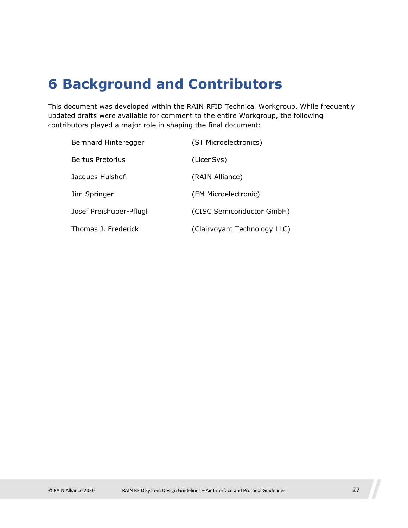## <span id="page-26-0"></span>**6 Background and Contributors**

This document was developed within the RAIN RFID Technical Workgroup. While frequently updated drafts were available for comment to the entire Workgroup, the following contributors played a major role in shaping the final document:

| Bernhard Hinteregger    | (ST Microelectronics)        |
|-------------------------|------------------------------|
| <b>Bertus Pretorius</b> | (LicenSys)                   |
| Jacques Hulshof         | (RAIN Alliance)              |
| Jim Springer            | (EM Microelectronic)         |
| Josef Preishuber-Pflügl | (CISC Semiconductor GmbH)    |
| Thomas 1. Frederick     | (Clairvoyant Technology LLC) |